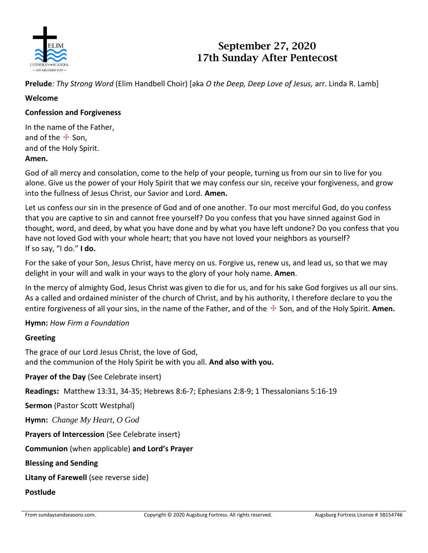

# **September 27, 2020 17th Sunday After Pentecost**

**Prelude**: *Thy Strong Word* (Elim Handbell Choir) [aka *O the Deep, Deep Love of Jesus,* arr. Linda R. Lamb]

# **Welcome**

## **Confession and Forgiveness**

In the name of the Father, and of the  $#$  Son. and of the Holy Spirit.

## **Amen.**

God of all mercy and consolation, come to the help of your people, turning us from our sin to live for you alone. Give us the power of your Holy Spirit that we may confess our sin, receive your forgiveness, and grow into the fullness of Jesus Christ, our Savior and Lord. **Amen.**

Let us confess our sin in the presence of God and of one another. To our most merciful God, do you confess that you are captive to sin and cannot free yourself? Do you confess that you have sinned against God in thought, word, and deed, by what you have done and by what you have left undone? Do you confess that you have not loved God with your whole heart; that you have not loved your neighbors as yourself? If so say, "I do." **I do.**

For the sake of your Son, Jesus Christ, have mercy on us. Forgive us, renew us, and lead us, so that we may delight in your will and walk in your ways to the glory of your holy name. **Amen**.

In the mercy of almighty God, Jesus Christ was given to die for us, and for his sake God forgives us all our sins. As a called and ordained minister of the church of Christ, and by his authority, I therefore declare to you the entire forgiveness of all your sins, in the name of the Father, and of the ☩ Son, and of the Holy Spirit. **Amen.**

# **Hymn:** *How Firm a Foundation*

## **Greeting**

The grace of our Lord Jesus Christ, the love of God, and the communion of the Holy Spirit be with you all. **And also with you.**

**Prayer of the Day** (See Celebrate insert)

**Readings:** Matthew 13:31, 34-35; Hebrews 8:6-7; Ephesians 2:8-9; 1 Thessalonians 5:16-19

**Sermon** (Pastor Scott Westphal)

**Hymn:** *Change My Heart, O God*

**Prayers of Intercession** (See Celebrate insert)

**Communion** (when applicable) **and Lord's Prayer**

**Blessing and Sending**

**Litany of Farewell** (see reverse side)

#### **Postlude**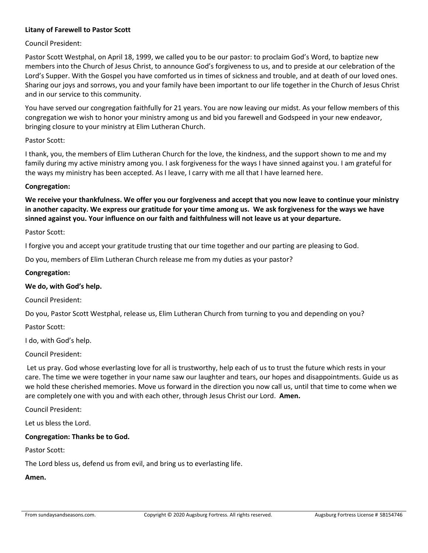#### **Litany of Farewell to Pastor Scott**

#### Council President:

Pastor Scott Westphal, on April 18, 1999, we called you to be our pastor: to proclaim God's Word, to baptize new members into the Church of Jesus Christ, to announce God's forgiveness to us, and to preside at our celebration of the Lord's Supper. With the Gospel you have comforted us in times of sickness and trouble, and at death of our loved ones. Sharing our joys and sorrows, you and your family have been important to our life together in the Church of Jesus Christ and in our service to this community.

You have served our congregation faithfully for 21 years. You are now leaving our midst. As your fellow members of this congregation we wish to honor your ministry among us and bid you farewell and Godspeed in your new endeavor, bringing closure to your ministry at Elim Lutheran Church.

#### Pastor Scott:

I thank, you, the members of Elim Lutheran Church for the love, the kindness, and the support shown to me and my family during my active ministry among you. I ask forgiveness for the ways I have sinned against you. I am grateful for the ways my ministry has been accepted. As I leave, I carry with me all that I have learned here.

#### **Congregation:**

**We receive your thankfulness. We offer you our forgiveness and accept that you now leave to continue your ministry in another capacity. We express our gratitude for your time among us. We ask forgiveness for the ways we have sinned against you. Your influence on our faith and faithfulness will not leave us at your departure.**

#### Pastor Scott:

I forgive you and accept your gratitude trusting that our time together and our parting are pleasing to God.

Do you, members of Elim Lutheran Church release me from my duties as your pastor?

#### **Congregation:**

#### **We do, with God's help.**

Council President:

Do you, Pastor Scott Westphal, release us, Elim Lutheran Church from turning to you and depending on you?

Pastor Scott:

I do, with God's help.

Council President:

Let us pray. God whose everlasting love for all is trustworthy, help each of us to trust the future which rests in your care. The time we were together in your name saw our laughter and tears, our hopes and disappointments. Guide us as we hold these cherished memories. Move us forward in the direction you now call us, until that time to come when we are completely one with you and with each other, through Jesus Christ our Lord. **Amen.**

Council President:

Let us bless the Lord.

#### **Congregation: Thanks be to God.**

Pastor Scott:

The Lord bless us, defend us from evil, and bring us to everlasting life.

**Amen.**